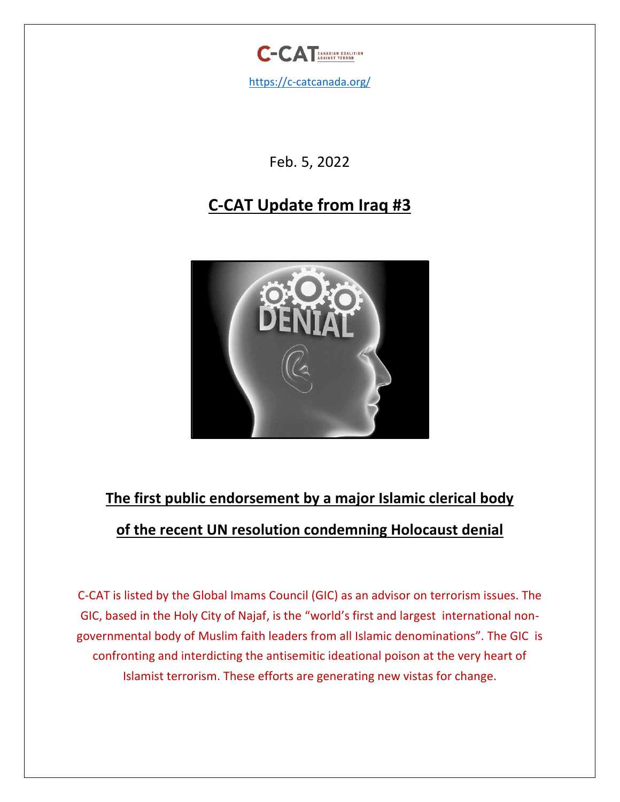

Feb. 5, 2022

# **C-CAT Update from Iraq #3**



# **The first public endorsement by a major Islamic clerical body of the recent UN [resolution condemning](https://news.un.org/en/story/2022/01/1110202) Holocaust denial**

C-CAT is listed by the Global Imams Council (GIC) as an advisor on terrorism issues. The GIC, based in the Holy City of Najaf, is the "world's first and largest international nongovernmental body of Muslim faith leaders from all Islamic denominations". The GIC is confronting and interdicting the antisemitic ideational poison at the very heart of Islamist terrorism. These efforts are generating new vistas for change.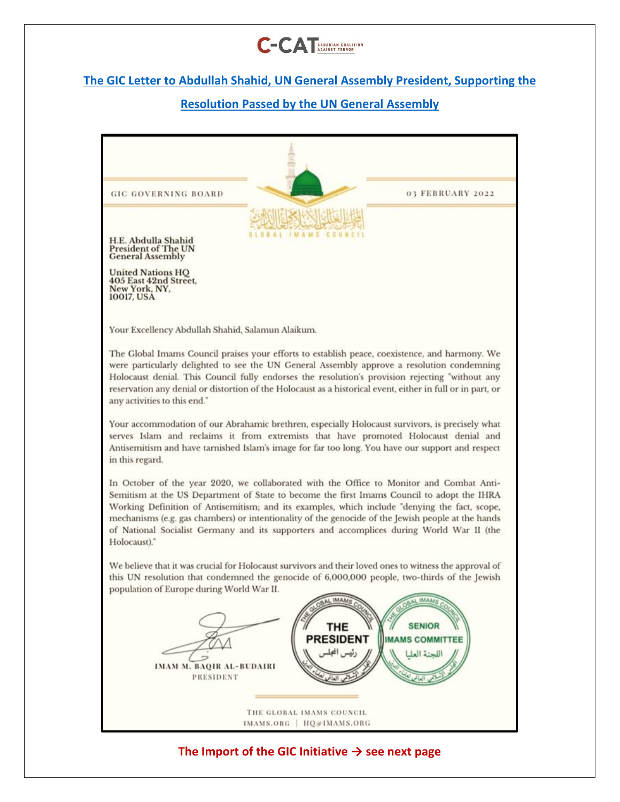

## **The GIC Letter to Abdullah [Shahid, UN General](https://twitter.com/ImamsOrg) Assembly President, Supporting the**

## **Resolution [Passed by the UN General Assembly](https://twitter.com/ImamsOrg)**

| 03 FEBRUARY 2022<br><b>GIC GOVERNING BOARD</b>                                                                                                                                                                                                                                                                                                                                                                                                                                                             |
|------------------------------------------------------------------------------------------------------------------------------------------------------------------------------------------------------------------------------------------------------------------------------------------------------------------------------------------------------------------------------------------------------------------------------------------------------------------------------------------------------------|
| H.E. Abdulla Shahid<br><b>President of The UN</b><br><b>General Assembly</b><br><b>United Nations HQ</b><br><b>405 East 42nd Street.</b><br>New York, NY,<br>10017, USA                                                                                                                                                                                                                                                                                                                                    |
| Your Excellency Abdullah Shahid, Salamun Alaikum.<br>The Global Imams Council praises your efforts to establish peace, coexistence, and harmony. We<br>were particularly delighted to see the UN General Assembly approve a resolution condemning                                                                                                                                                                                                                                                          |
| Holocaust denial. This Council fully endorses the resolution's provision rejecting "without any<br>reservation any denial or distortion of the Holocaust as a historical event, either in full or in part, or<br>any activities to this end."                                                                                                                                                                                                                                                              |
| Your accommodation of our Abrahamic brethren, especially Holocaust survivors, is precisely what<br>serves Islam and reclaims it from extremists that have promoted Holocaust denial and<br>Antisemitism and have tarnished Islam's image for far too long. You have our support and respect<br>in this regard.                                                                                                                                                                                             |
| In October of the year 2020, we collaborated with the Office to Monitor and Combat Anti-<br>Semitism at the US Department of State to become the first Imams Council to adopt the IHRA<br>Working Definition of Antisemitism; and its examples, which include "denying the fact, scope,<br>mechanisms (e.g. gas chambers) or intentionality of the genocide of the Jewish people at the hands<br>of National Socialist Germany and its supporters and accomplices during World War II (the<br>Holocaust)." |
| We believe that it was crucial for Holocaust survivors and their loved ones to witness the approval of<br>this UN resolution that condemned the genocide of 6,000,000 people, two-thirds of the Jewish<br>population of Europe during World War II.<br><b>MAM</b>                                                                                                                                                                                                                                          |
| <b>SENIOR</b><br><b>THE</b><br><b>PRESIDENT</b><br><b>IMAMS COMMITTEE</b><br>ئيس المجلس<br>اللجنة العل<br><b>IMAM M. BAQIR AL-BUDAIRI</b><br>PRESIDENT                                                                                                                                                                                                                                                                                                                                                     |
| THE GLOBAL IMAMS COUNCIL<br>IMAMS.ORG   HQ@IMAMS.ORG                                                                                                                                                                                                                                                                                                                                                                                                                                                       |
| The Import of the GIC Initiative $\rightarrow$ see next page                                                                                                                                                                                                                                                                                                                                                                                                                                               |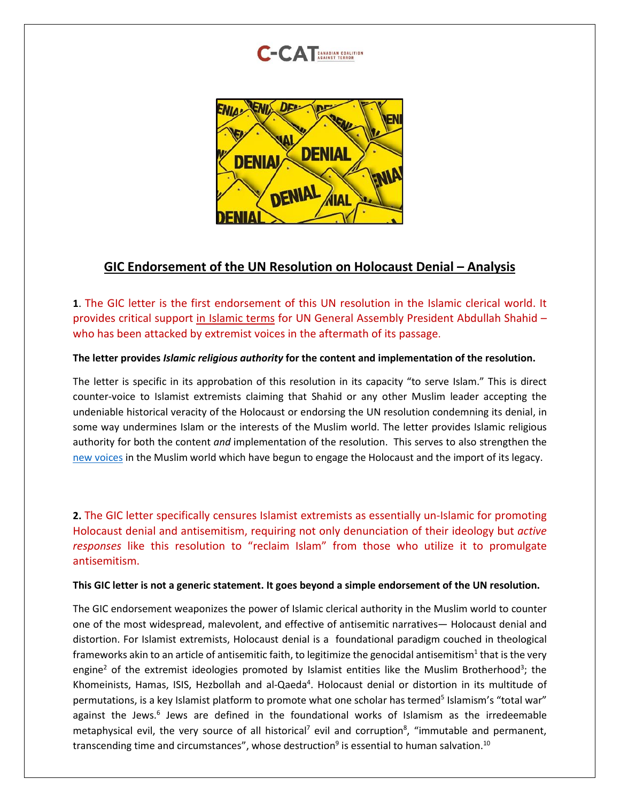



### **GIC Endorsement of the UN Resolution on Holocaust Denial – Analysis**

**1**. The GIC letter is the first endorsement of this UN resolution in the Islamic clerical world. It provides critical support in Islamic terms for UN General Assembly President Abdullah Shahid – who has been attacked by extremist voices in the aftermath of its passage.

#### **The letter provides** *Islamic religious authority* **for the content and implementation of the resolution.**

The letter is specific in its approbation of this resolution in its capacity "to serve Islam." This is direct counter-voice to Islamist extremists claiming that Shahid or any other Muslim leader accepting the undeniable historical veracity of the Holocaust or endorsing the UN resolution condemning its denial, in some way undermines Islam or the interests of the Muslim world. The letter provides Islamic religious authority for both the content *and* implementation of the resolution. This serves to also strengthen the [new voices](https://www.washingtoninstitute.org/policy-analysis/crumbling-walls-arab-holocaust-denial) in the Muslim world which have begun to engage the Holocaust and the import of its legacy.

**2.** The GIC letter specifically censures Islamist extremists as essentially un-Islamic for promoting Holocaust denial and antisemitism, requiring not only denunciation of their ideology but *active responses* like this resolution to "reclaim Islam" from those who utilize it to promulgate antisemitism.

#### **This GIC letter is not a generic statement. It goes beyond a simple endorsement of the UN resolution.**

The GIC endorsement weaponizes the power of Islamic clerical authority in the Muslim world to counter one of the most widespread, malevolent, and effective of antisemitic narratives— Holocaust denial and distortion. For Islamist extremists, Holocaust denial is a foundational paradigm couched in theological frameworks akin to an article of antisemitic faith, to legitimize the genocidal antisemitism $^1$  that is the very engine<sup>2</sup> of the extremist ideologies promoted by Islamist entities like the Muslim Brotherhood<sup>3</sup>; the Khomeinists, Hamas, ISIS, Hezbollah and al-Qaeda<sup>4</sup>. Holocaust denial or distortion in its multitude of permutations, is a key Islamist platform to promote what one scholar has termed<sup>5</sup> Islamism's "total war" against the Jews.<sup>6</sup> Jews are defined in the foundational works of Islamism as the irredeemable metaphysical evil, the very source of all historical<sup>7</sup> evil and corruption<sup>8</sup>, "immutable and permanent, transcending time and circumstances", whose destruction<sup>9</sup> is essential to human salvation.<sup>10</sup>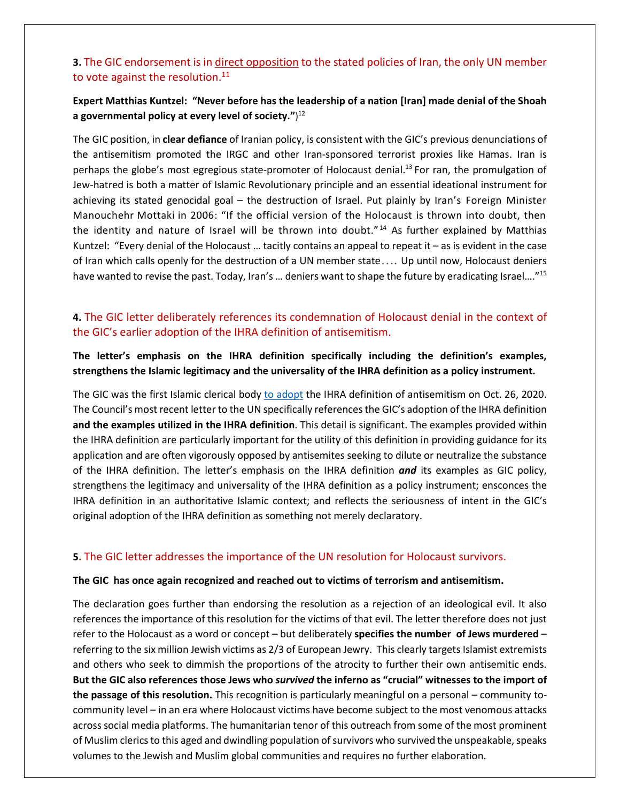#### **3.** The GIC endorsement is in direct opposition to the stated policies of Iran, the only UN member to vote against the resolution.<sup>11</sup>

#### **Expert Matthias Kuntzel: "Never before has the leadership of a nation [Iran] made denial of the Shoah a governmental policy at every level of society."**) 12

The GIC position, in **clear defiance** of Iranian policy, is consistent with the GIC's previous denunciations of the antisemitism promoted the IRGC and other Iran-sponsored terrorist proxies like Hamas. Iran is perhaps the globe's most egregious state-promoter of Holocaust denial.<sup>13</sup> For ran, the promulgation of Jew-hatred is both a matter of Islamic Revolutionary principle and an essential ideational instrument for achieving its stated genocidal goal – the destruction of Israel. Put plainly by Iran's Foreign Minister Manouchehr Mottaki in 2006: "If the official version of the Holocaust is thrown into doubt, then the identity and nature of Israel will be thrown into doubt."<sup>14</sup> As further explained by Matthias Kuntzel: "Every denial of the Holocaust … tacitly contains an appeal to repeat it – as is evident in the case of Iran which calls openly for the destruction of a UN member state…. Up until now, Holocaust deniers have wanted to revise the past. Today, Iran's ... deniers want to shape the future by eradicating Israel...."<sup>15</sup>

#### **4.** The GIC letter deliberately references its condemnation of Holocaust denial in the context of the GIC's earlier adoption of the IHRA definition of antisemitism.

#### **The letter's emphasis on the IHRA definition specifically including the definition's examples, strengthens the Islamic legitimacy and the universality of the IHRA definition as a policy instrument.**

The GIC was the first Islamic clerical body [to adopt](https://c-catcanada.org/resources/global-imams-council-adopts-the-ihra-definition-of-antisemitism-c-cat/) the IHRA definition of antisemitism on Oct. 26, 2020. The Council's most recent letter to the UN specifically referencesthe GIC's adoption of the IHRA definition **and the examples utilized in the IHRA definition**. This detail is significant. The examples provided within the IHRA definition are particularly important for the utility of this definition in providing guidance for its application and are often vigorously opposed by antisemites seeking to dilute or neutralize the substance of the IHRA definition. The letter's emphasis on the IHRA definition *and* its examples as GIC policy, strengthens the legitimacy and universality of the IHRA definition as a policy instrument; ensconces the IHRA definition in an authoritative Islamic context; and reflects the seriousness of intent in the GIC's original adoption of the IHRA definition as something not merely declaratory.

#### **5.** The GIC letter addresses the importance of the UN resolution for Holocaust survivors.

#### **The GIC has once again recognized and reached out to victims of terrorism and antisemitism.**

The declaration goes further than endorsing the resolution as a rejection of an ideological evil. It also references the importance of this resolution for the victims of that evil. The letter therefore does not just refer to the Holocaust as a word or concept – but deliberately **specifies the number of Jews murdered** – referring to the six million Jewish victims as 2/3 of European Jewry. This clearly targets Islamist extremists and others who seek to dimmish the proportions of the atrocity to further their own antisemitic ends. **But the GIC also references those Jews who** *survived* **the inferno as "crucial" witnesses to the import of the passage of this resolution.** This recognition is particularly meaningful on a personal – community tocommunity level – in an era where Holocaust victims have become subject to the most venomous attacks across social media platforms. The humanitarian tenor of this outreach from some of the most prominent of Muslim clerics to this aged and dwindling population of survivors who survived the unspeakable, speaks volumes to the Jewish and Muslim global communities and requires no further elaboration.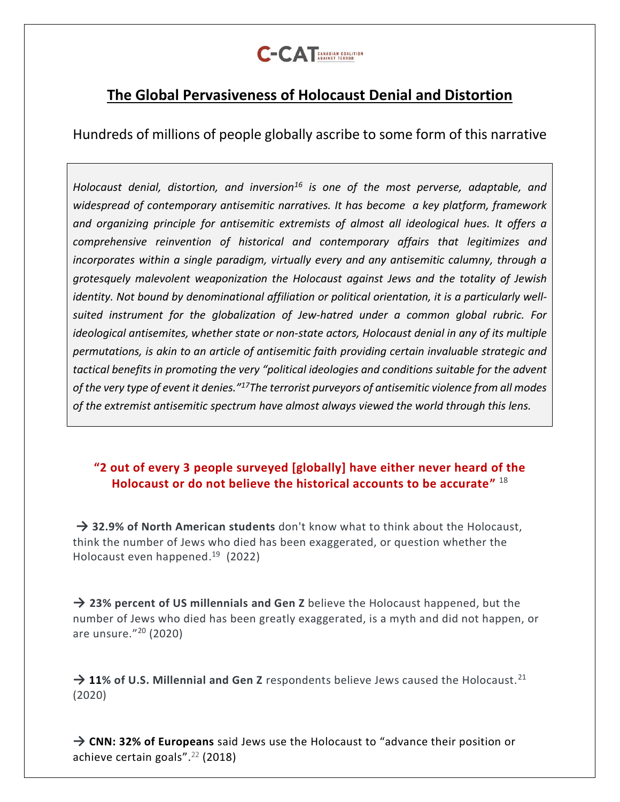

# **The Global Pervasiveness of Holocaust Denial and Distortion**

Hundreds of millions of people globally ascribe to some form of this narrative

*Holocaust denial, distortion, and inversion<sup>16</sup> is one of the most perverse, adaptable, and widespread of contemporary antisemitic narratives. It has become a key platform, framework and organizing principle for antisemitic extremists of almost all ideological hues. It offers a comprehensive reinvention of historical and contemporary affairs that legitimizes and incorporates within a single paradigm, virtually every and any antisemitic calumny, through a grotesquely malevolent weaponization the Holocaust against Jews and the totality of Jewish identity. Not bound by denominational affiliation or political orientation, it is a particularly wellsuited instrument for the globalization of Jew-hatred under a common global rubric. For ideological antisemites, whether state or non-state actors, Holocaust denial in any of its multiple permutations, is akin to an article of antisemitic faith providing certain invaluable strategic and tactical benefits in promoting the very "political ideologies and conditions suitable for the advent of the very type of event it denies."<sup>17</sup>The terrorist purveyors of antisemitic violence from all modes of the extremist antisemitic spectrum have almost always viewed the world through this lens.*

# **"2 out of every 3 people surveyed [globally] have either never heard of the Holocaust or do not believe the historical accounts to be accurate"** 18

**→ 32.9% of North American students** don't know what to think about the Holocaust, think the number of Jews who died has been exaggerated, or question whether the Holocaust even happened. <sup>19</sup> (2022)

**→ 23% percent of US millennials and Gen Z** believe the Holocaust happened, but the number of Jews who died has been greatly exaggerated, is a myth and did not happen, or are unsure."<sup>20</sup> (2020)

→ 11% of U.S. Millennial and Gen Z respondents believe Jews caused the Holocaust.<sup>21</sup> (2020)

→ **[CNN:](https://edition.cnn.com/interactive/2018/11/europe/antisemitism-poll-2018-intl/) 32% of Europeans** said Jews use the Holocaust to "advance their position or achieve certain goals". <sup>22</sup> (2018)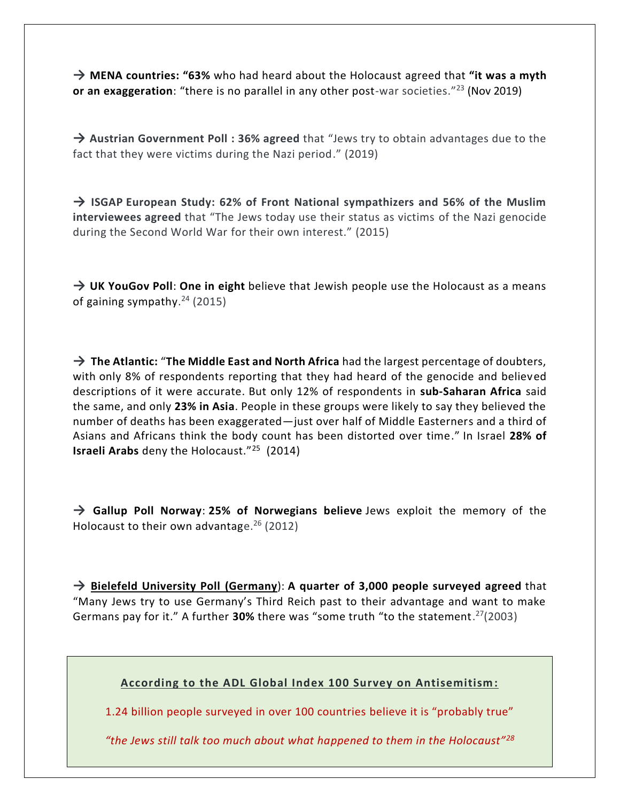**→ MENA countries: "63%** who had heard about the Holocaust agreed that **"it was a myth or an exaggeration**: "there is no parallel in any other post-war societies." <sup>23</sup> (Nov 2019)

**→ [Austrian Government Poll :](https://www.jpost.com/opinion/secondary-antisemitism-588417) 36% agreed** that "Jews try to obtain advantages due to the fact that they were victims during the Nazi period." (2019)

**→ ISGAP European Study: 62% of Front National sympathizers and 56% of the Muslim interviewees agreed** that "The Jews today use their status as victims of the Nazi genocide during the Second World War for their own interest." (2015)

**→ [UK YouGov Poll](https://www.theguardian.com/world/2015/jan/14/uk-jewish-antisemitism-rise-yougov-poll)**: **One in eight** believe that Jewish people use the Holocaust as a means of gaining sympathy. <sup>24</sup> (2015)

**→ The Atlantic:** "**The Middle East and North Africa** had the largest percentage of doubters, with only 8% of respondents reporting that they had heard of the genocide and believed descriptions of it were accurate. But only 12% of respondents in **sub-Saharan Africa** said the same, and only **23% in Asia**. People in these groups were likely to say they believed the number of deaths has been exaggerated—just over half of Middle Easterners and a third of Asians and Africans think the body count has been distorted over time." In Israel **28% of Israeli Arabs** deny the Holocaust."<sup>25</sup> (2014)

**→ [Gallup Poll Norway](https://www.haaretz.com/jewish/anti-semitism-limited-in-norway-survey-shows-1.5178366)**: **25% of Norwegians believe** Jews exploit the memory of the Holocaust to their own advantage.<sup>26</sup> (2012)

**→ [Bielefeld University Poll \(Germany](https://www.irishtimes.com/news/germans-annoyed-at-blame-for-holocaust-1.399332)**): **A quarter of 3,000 people surveyed agreed** that "Many Jews try to use Germany's Third Reich past to their advantage and want to make Germans pay for it." A further **30%** there was "some truth "to the statement. <sup>27</sup>(2003)

**According to the ADL Global Index 100 Survey on Antisemitism:**

1.24 billion people surveyed in over 100 countries believe it is "probably true"

*"the Jews still talk too much about what happened to them in the Holocaust"28*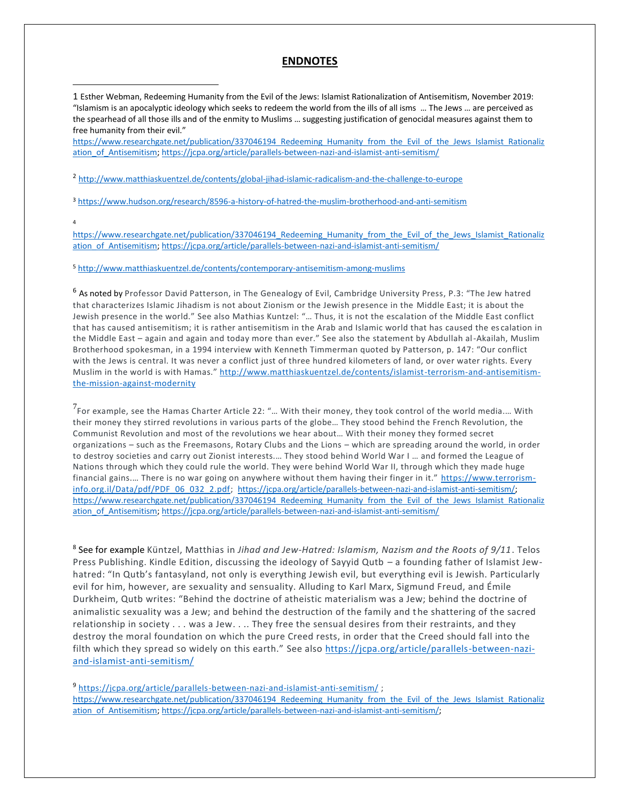#### **ENDNOTES**

1 Esther Webman, Redeeming Humanity from the Evil of the Jews: Islamist Rationalization of Antisemitism, November 2019: "Islamism is an apocalyptic ideology which seeks to redeem the world from the ills of all isms … The Jews … are perceived as the spearhead of all those ills and of the enmity to Muslims … suggesting justification of genocidal measures against them to free humanity from their evil."

https://www.researchgate.net/publication/337046194 Redeeming Humanity from the Evil of the Jews Islamist Rationaliz ation of Antisemitism;<https://jcpa.org/article/parallels-between-nazi-and-islamist-anti-semitism/>

<sup>2</sup> <http://www.matthiaskuentzel.de/contents/global-jihad-islamic-radicalism-and-the-challenge-to-europe>

<sup>3</sup> <https://www.hudson.org/research/8596-a-history-of-hatred-the-muslim-brotherhood-and-anti-semitism>

4

https://www.researchgate.net/publication/337046194 Redeeming Humanity from the Evil of the Jews Islamist Rationaliz [ation\\_of\\_Antisemitism;](https://www.researchgate.net/publication/337046194_Redeeming_Humanity_from_the_Evil_of_the_Jews_Islamist_Rationalization_of_Antisemitism)<https://jcpa.org/article/parallels-between-nazi-and-islamist-anti-semitism/>

<sup>5</sup> <http://www.matthiaskuentzel.de/contents/contemporary-antisemitism-among-muslims>

<sup>6</sup> As noted by Professor David Patterson, in The Genealogy of Evil, Cambridge University Press, P.3: "The Jew hatred that characterizes Islamic Jihadism is not about Zionism or the Jewish presence in the Middle East; it is about the Jewish presence in the world." See also Mathias Kuntzel: "… Thus, it is not the escalation of the Middle East conflict that has caused antisemitism; it is rather antisemitism in the Arab and Islamic world that has caused the es calation in the Middle East – again and again and today more than ever." See also the statement by Abdullah al-Akailah, Muslim Brotherhood spokesman, in a 1994 interview with Kenneth Timmerman quoted by Patterson, p. 147: "Our conflict with the Jews is central. It was never a conflict just of three hundred kilometers of land, or over water rights. Every Muslim in the world is with Hamas." [http://www.matthiaskuentzel.de/contents/islamist-terrorism-and-antisemitism](http://www.matthiaskuentzel.de/contents/islamist-terrorism-and-antisemitism-the-mission-against-modernity)[the-mission-against-modernity](http://www.matthiaskuentzel.de/contents/islamist-terrorism-and-antisemitism-the-mission-against-modernity)

 $^7$ For example, see the Hamas Charter Article 22: "... With their money, they took control of the world media.... With their money they stirred revolutions in various parts of the globe… They stood behind the French Revolution, the Communist Revolution and most of the revolutions we hear about… With their money they formed secret organizations – such as the Freemasons, Rotary Clubs and the Lions – which are spreading around the world, in order to destroy societies and carry out Zionist interests.… They stood behind World War I … and formed the League of Nations through which they could rule the world. They were behind World War II, through which they made huge financial gains.... There is no war going on anywhere without them having their finger in it." [https://www.terrorism](https://www.terrorism-info.org.il/Data/pdf/PDF_06_032_2.pdf)[info.org.il/Data/pdf/PDF\\_06\\_032\\_2.pdf;](https://www.terrorism-info.org.il/Data/pdf/PDF_06_032_2.pdf) [https://jcpa.org/article/parallels-between-nazi-and-islamist-anti-semitism/;](https://jcpa.org/article/parallels-between-nazi-and-islamist-anti-semitism/) https://www.researchgate.net/publication/337046194 Redeeming Humanity from the Evil of the Jews Islamist Rationaliz ation of Antisemitism;<https://jcpa.org/article/parallels-between-nazi-and-islamist-anti-semitism/>

8 See for example Küntzel, Matthias in *Jihad and Jew-Hatred: Islamism, Nazism and the Roots of 9/11*. Telos Press Publishing. Kindle Edition, discussing the ideology of Sayyid Qutb – a founding father of Islamist Jewhatred: "In Qutb's fantasyland, not only is everything Jewish evil, but everything evil is Jewish. Particularly evil for him, however, are sexuality and sensuality. Alluding to Karl Marx, Sigmund Freud, and Émile Durkheim, Qutb writes: "Behind the doctrine of atheistic materialism was a Jew; behind the doctrine of animalistic sexuality was a Jew; and behind the destruction of the family and the shattering of the sacred relationship in society . . . was a Jew. . .. They free the sensual desires from their restraints, and they destroy the moral foundation on which the pure Creed rests, in order that the Creed should fall into the filth which they spread so widely on this earth." See also [https://jcpa.org/article/parallels-between-nazi](https://jcpa.org/article/parallels-between-nazi-and-islamist-anti-semitism/)[and-islamist-anti-semitism/](https://jcpa.org/article/parallels-between-nazi-and-islamist-anti-semitism/)

<sup>9</sup> <https://jcpa.org/article/parallels-between-nazi-and-islamist-anti-semitism/> ; https://www.researchgate.net/publication/337046194 Redeeming Humanity from the Evil of the Jews Islamist Rationaliz [ation\\_of\\_Antisemitism;](https://www.researchgate.net/publication/337046194_Redeeming_Humanity_from_the_Evil_of_the_Jews_Islamist_Rationalization_of_Antisemitism) [https://jcpa.org/article/parallels-between-nazi-and-islamist-anti-semitism/;](https://jcpa.org/article/parallels-between-nazi-and-islamist-anti-semitism/)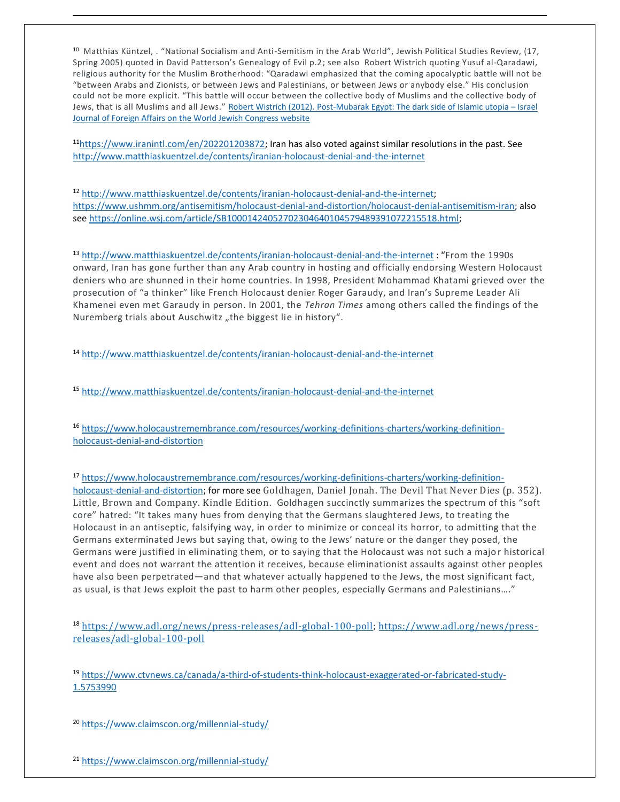<sup>10</sup> Matthias Küntzel, . "National Socialism and Anti-Semitism in the Arab World", [Jewish Political Studies Review, \(17,](http://www.jcpa.org/phas/phas-kunztel-s05.htm.)  [Spring 2005\) quoted in David Patterson's Genealogy of Evil p.2](http://www.jcpa.org/phas/phas-kunztel-s05.htm.); see also Robert Wistrich quoting Yusuf al-Qaradawi, religious authority for the Muslim Brotherhood: "Qaradawi emphasized that the coming apocalyptic battle will not be "between Arabs and Zionists, or between Jews and Palestinians, or between Jews or anybody else." His conclusion could not be more explicit. "This battle will occur between the collective body of Muslims and the collective body of Jews, that is all Muslims and all Jews." Robert Wistrich (2012). [Post-Mubarak Egypt: The dark side of Islamic utopia](https://www.worldjewishcongress.org/en/news/Robert-wistrich-post-mubarak-egypt-the-dark-side-of-islamic-utopia-israel-journal-of-foreign-affairs) – Israel Journal of Foreign Affairs [on the World Jewish Congress website](https://www.worldjewishcongress.org/en/news/Robert-wistrich-post-mubarak-egypt-the-dark-side-of-islamic-utopia-israel-journal-of-foreign-affairs)

<sup>11</sup>[https://www.iranintl.com/en/202201203872;](https://www.iranintl.com/en/202201203872) Iran has also voted against similar resolutions in the past. See <http://www.matthiaskuentzel.de/contents/iranian-holocaust-denial-and-the-internet>

<sup>12</sup> [http://www.matthiaskuentzel.de/contents/iranian-holocaust-denial-and-the-internet;](http://www.matthiaskuentzel.de/contents/iranian-holocaust-denial-and-the-internet) [https://www.ushmm.org/antisemitism/holocaust-denial-and-distortion/holocaust-denial-antisemitism-iran;](https://www.ushmm.org/antisemitism/holocaust-denial-and-distortion/holocaust-denial-antisemitism-iran) also see [https://online.wsj.com/article/SB10001424052702304640104579489391072215518.html;](https://online.wsj.com/article/SB10001424052702304640104579489391072215518.html)

<sup>13</sup> <http://www.matthiaskuentzel.de/contents/iranian-holocaust-denial-and-the-internet> : "From the 1990s onward, Iran has gone further than any Arab country in hosting and officially endorsing Western Holocaust deniers who are shunned in their home countries. In 1998, President Mohammad Khatami grieved over the prosecution of "a thinker" like French Holocaust denier Roger Garaudy, and Iran's Supreme Leader Ali Khamenei even met Garaudy in person. In 2001, the *Tehran Times* among others called the findings of the Nuremberg trials about Auschwitz "the biggest lie in history".

<sup>14</sup> <http://www.matthiaskuentzel.de/contents/iranian-holocaust-denial-and-the-internet>

<sup>15</sup> <http://www.matthiaskuentzel.de/contents/iranian-holocaust-denial-and-the-internet>

<sup>16</sup> [https://www.holocaustremembrance.com/resources/working-definitions-charters/working-definition](https://www.holocaustremembrance.com/resources/working-definitions-charters/working-definition-holocaust-denial-and-distortion)[holocaust-denial-and-distortion](https://www.holocaustremembrance.com/resources/working-definitions-charters/working-definition-holocaust-denial-and-distortion)

<sup>17</sup> [https://www.holocaustremembrance.com/resources/working-definitions-charters/working-definition](https://www.holocaustremembrance.com/resources/working-definitions-charters/working-definition-holocaust-denial-and-distortion)[holocaust-denial-and-distortion;](https://www.holocaustremembrance.com/resources/working-definitions-charters/working-definition-holocaust-denial-and-distortion) for more see Goldhagen, Daniel Jonah. The Devil That Never Dies (p. 352). Little, Brown and Company. Kindle Edition. Goldhagen succinctly summarizes the spectrum of this "soft core" hatred: "It takes many hues from denying that the Germans slaughtered Jews, to treating the Holocaust in an antiseptic, falsifying way, in order to minimize or conceal its horror, to admitting that the Germans exterminated Jews but saying that, owing to the Jews' nature or the danger they posed, the Germans were justified in eliminating them, or to saying that the Holocaust was not such a majo r historical event and does not warrant the attention it receives, because eliminationist assaults against other peoples have also been perpetrated—and that whatever actually happened to the Jews, the most significant fact, as usual, is that Jews exploit the past to harm other peoples, especially Germans and Palestinians…."

<sup>18</sup> [https://www.adl.org/news/press-releases/adl-global-100-poll; https://www.adl.org/news/press](https://www.adl.org/news/press-releases/adl-global-100-poll)[releases/adl-global-100-poll](https://www.adl.org/news/press-releases/adl-global-100-poll)

<sup>19</sup> [https://www.ctvnews.ca/canada/a-third-of-students-think-holocaust-exaggerated-or-fabricated-study-](https://www.ctvnews.ca/canada/a-third-of-students-think-holocaust-exaggerated-or-fabricated-study-1.5753990)[1.5753990](https://www.ctvnews.ca/canada/a-third-of-students-think-holocaust-exaggerated-or-fabricated-study-1.5753990)

<sup>20</sup> <https://www.claimscon.org/millennial-study/>

<sup>21</sup> <https://www.claimscon.org/millennial-study/>